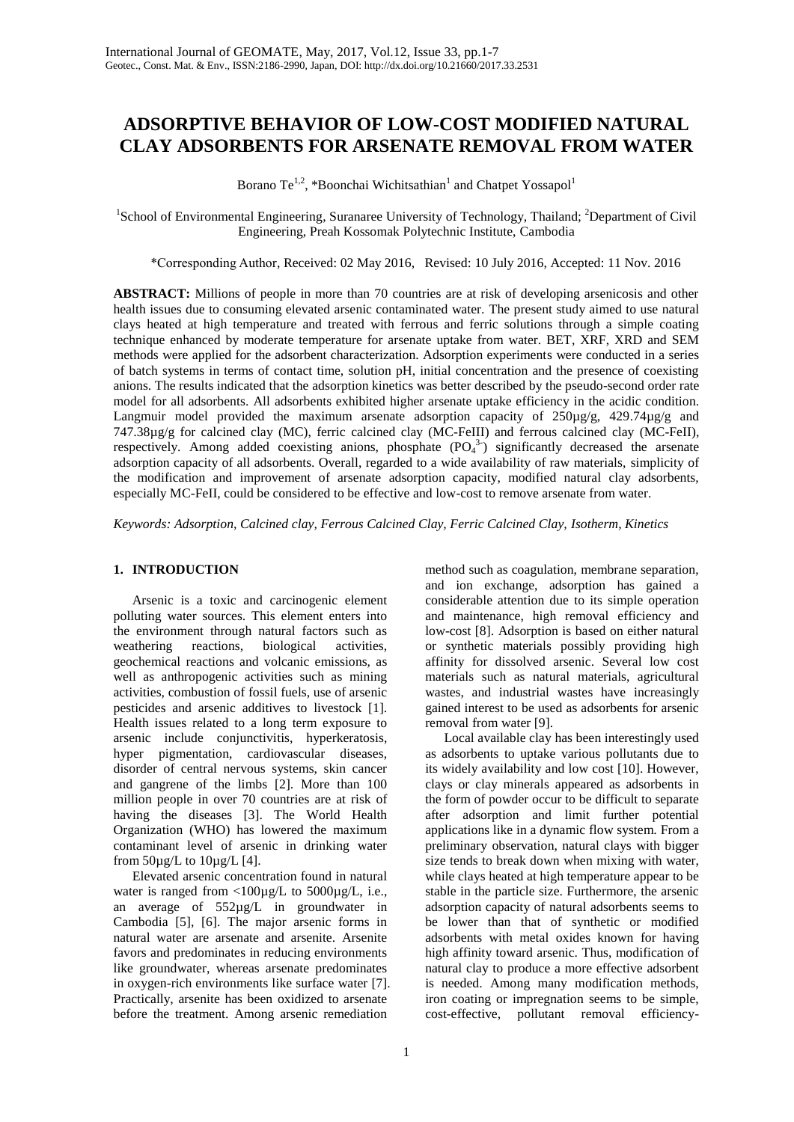# **ADSORPTIVE BEHAVIOR OF LOW-COST MODIFIED NATURAL CLAY ADSORBENTS FOR ARSENATE REMOVAL FROM WATER**

Borano Te<sup>1,2</sup>, \*Boonchai Wichitsathian<sup>1</sup> and Chatpet Yossapol<sup>1</sup>

<sup>1</sup>School of Environmental Engineering, Suranaree University of Technology, Thailand; <sup>2</sup>Department of Civil Engineering, Preah Kossomak Polytechnic Institute, Cambodia

\*Corresponding Author, Received: 02 May 2016, Revised: 10 July 2016, Accepted: 11 Nov. 2016

**ABSTRACT:** Millions of people in more than 70 countries are at risk of developing arsenicosis and other health issues due to consuming elevated arsenic contaminated water. The present study aimed to use natural clays heated at high temperature and treated with ferrous and ferric solutions through a simple coating technique enhanced by moderate temperature for arsenate uptake from water. BET, XRF, XRD and SEM methods were applied for the adsorbent characterization. Adsorption experiments were conducted in a series of batch systems in terms of contact time, solution pH, initial concentration and the presence of coexisting anions. The results indicated that the adsorption kinetics was better described by the pseudo-second order rate model for all adsorbents. All adsorbents exhibited higher arsenate uptake efficiency in the acidic condition. Langmuir model provided the maximum arsenate adsorption capacity of  $250\mu g/g$ ,  $429.74\mu g/g$  and 747.38µg/g for calcined clay (MC), ferric calcined clay (MC-FeIII) and ferrous calcined clay (MC-FeII), respectively. Among added coexisting anions, phosphate  $(PO_4^3)$  significantly decreased the arsenate adsorption capacity of all adsorbents. Overall, regarded to a wide availability of raw materials, simplicity of the modification and improvement of arsenate adsorption capacity, modified natural clay adsorbents, especially MC-FeII, could be considered to be effective and low-cost to remove arsenate from water.

*Keywords: Adsorption, Calcined clay, Ferrous Calcined Clay, Ferric Calcined Clay, Isotherm, Kinetics*

# **1. INTRODUCTION**

Arsenic is a toxic and carcinogenic element polluting water sources. This element enters into the environment through natural factors such as weathering reactions, biological activities, geochemical reactions and volcanic emissions, as well as anthropogenic activities such as mining activities, combustion of fossil fuels, use of arsenic pesticides and arsenic additives to livestock [1]. Health issues related to a long term exposure to arsenic include conjunctivitis, hyperkeratosis, hyper pigmentation, cardiovascular diseases, disorder of central nervous systems, skin cancer and gangrene of the limbs [2]. More than 100 million people in over 70 countries are at risk of having the diseases [3]. The World Health Organization (WHO) has lowered the maximum contaminant level of arsenic in drinking water from  $50\mu g/L$  to  $10\mu g/L$  [4].

Elevated arsenic concentration found in natural water is ranged from <100µg/L to 5000µg/L, i.e., an average of 552µg/L in groundwater in Cambodia [5], [6]. The major arsenic forms in natural water are arsenate and arsenite. Arsenite favors and predominates in reducing environments like groundwater, whereas arsenate predominates in oxygen-rich environments like surface water [7]. Practically, arsenite has been oxidized to arsenate before the treatment. Among arsenic remediation

method such as coagulation, membrane separation, and ion exchange, adsorption has gained a considerable attention due to its simple operation and maintenance, high removal efficiency and low-cost [8]. Adsorption is based on either natural or synthetic materials possibly providing high affinity for dissolved arsenic. Several low cost materials such as natural materials, agricultural wastes, and industrial wastes have increasingly gained interest to be used as adsorbents for arsenic removal from water [9].

Local available clay has been interestingly used as adsorbents to uptake various pollutants due to its widely availability and low cost [10]. However, clays or clay minerals appeared as adsorbents in the form of powder occur to be difficult to separate after adsorption and limit further potential applications like in a dynamic flow system. From a preliminary observation, natural clays with bigger size tends to break down when mixing with water, while clays heated at high temperature appear to be stable in the particle size. Furthermore, the arsenic adsorption capacity of natural adsorbents seems to be lower than that of synthetic or modified adsorbents with metal oxides known for having high affinity toward arsenic. Thus, modification of natural clay to produce a more effective adsorbent is needed. Among many modification methods, iron coating or impregnation seems to be simple, cost-effective, pollutant removal efficiency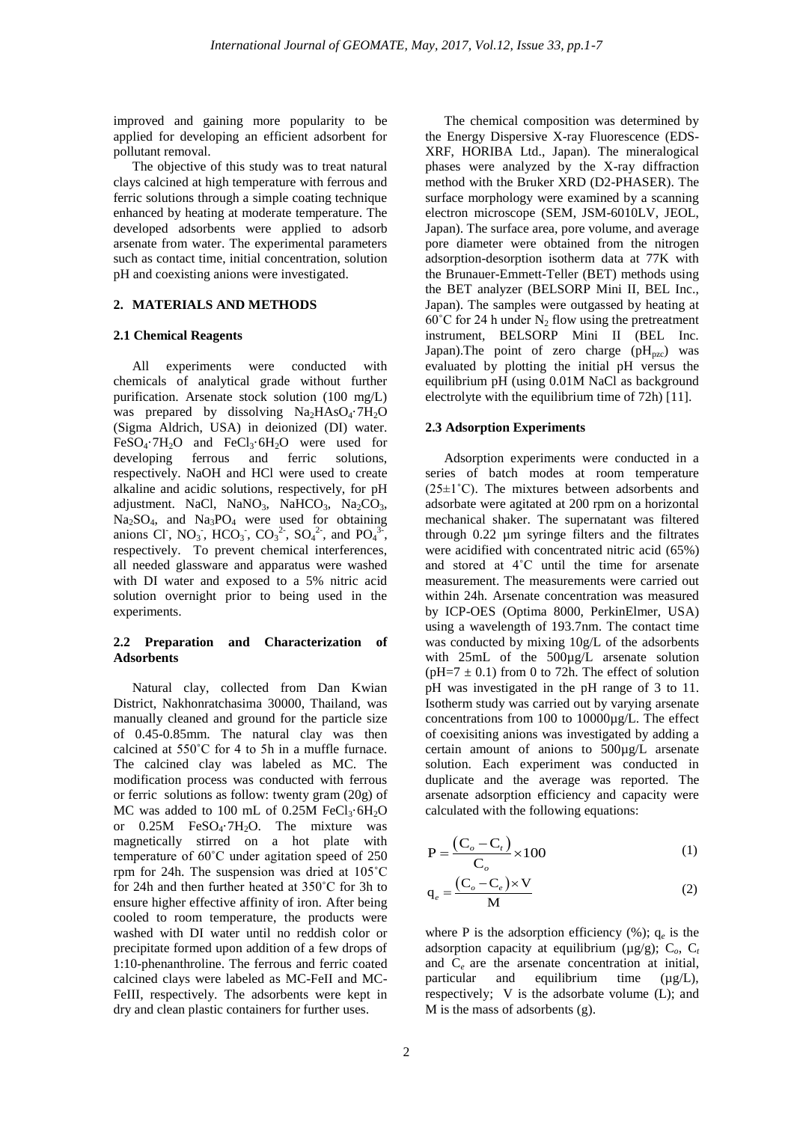improved and gaining more popularity to be applied for developing an efficient adsorbent for pollutant removal.

The objective of this study was to treat natural clays calcined at high temperature with ferrous and ferric solutions through a simple coating technique enhanced by heating at moderate temperature. The developed adsorbents were applied to adsorb arsenate from water. The experimental parameters such as contact time, initial concentration, solution pH and coexisting anions were investigated.

#### **2. MATERIALS AND METHODS**

#### **2.1 Chemical Reagents**

All experiments were conducted with chemicals of analytical grade without further purification. Arsenate stock solution (100 mg/L) was prepared by dissolving  $Na<sub>2</sub>HAsO<sub>4</sub>·7H<sub>2</sub>O$ (Sigma Aldrich, USA) in deionized (DI) water.  $FeSO<sub>4</sub>·7H<sub>2</sub>O$  and  $FeCl<sub>3</sub>·6H<sub>2</sub>O$  were used for developing ferrous and ferric solutions, developing respectively. NaOH and HCl were used to create alkaline and acidic solutions, respectively, for pH adjustment. NaCl, NaNO<sub>3</sub>, NaHCO<sub>3</sub>, Na<sub>2</sub>CO<sub>3</sub>,  $Na<sub>3</sub>SO<sub>4</sub>$ , and  $Na<sub>3</sub>PO<sub>4</sub>$  were used for obtaining anions Cl<sup>-</sup>, NO<sub>3</sub><sup>-</sup>, HCO<sub>3</sub><sup>-</sup>, CO<sub>3</sub><sup>2</sup>-, SO<sub>4</sub><sup>2</sup>-, and PO<sub>4</sub><sup>3-</sup>, respectively. To prevent chemical interferences, all needed glassware and apparatus were washed with DI water and exposed to a 5% nitric acid solution overnight prior to being used in the experiments.

## **2.2 Preparation and Characterization of Adsorbents**

Natural clay, collected from Dan Kwian District, Nakhonratchasima 30000, Thailand, was manually cleaned and ground for the particle size of 0.45-0.85mm. The natural clay was then calcined at 550˚C for 4 to 5h in a muffle furnace. The calcined clay was labeled as MC. The modification process was conducted with ferrous or ferric solutions as follow: twenty gram (20g) of MC was added to 100 mL of 0.25M FeCl<sub>3</sub> $\cdot$ 6H<sub>2</sub>O or  $0.25M$  FeSO<sub>4</sub> $·7H<sub>2</sub>O$ . The mixture was magnetically stirred on a hot plate with temperature of 60˚C under agitation speed of 250 rpm for 24h. The suspension was dried at 105˚C for 24h and then further heated at 350˚C for 3h to ensure higher effective affinity of iron. After being cooled to room temperature, the products were washed with DI water until no reddish color or precipitate formed upon addition of a few drops of 1:10-phenanthroline. The ferrous and ferric coated calcined clays were labeled as MC-FeII and MC-FeIII, respectively. The adsorbents were kept in dry and clean plastic containers for further uses.

The chemical composition was determined by the Energy Dispersive X-ray Fluorescence (EDS-XRF, HORIBA Ltd., Japan). The mineralogical phases were analyzed by the X-ray diffraction method with the Bruker XRD (D2-PHASER). The surface morphology were examined by a scanning electron microscope (SEM, JSM-6010LV, JEOL, Japan). The surface area, pore volume, and average pore diameter were obtained from the nitrogen adsorption-desorption isotherm data at 77K with the Brunauer-Emmett-Teller (BET) methods using the BET analyzer (BELSORP Mini II, BEL Inc., Japan). The samples were outgassed by heating at 60°C for 24 h under  $N_2$  flow using the pretreatment instrument, BELSORP Mini II (BEL Inc. Japan). The point of zero charge  $(pH_{pzc})$  was evaluated by plotting the initial pH versus the equilibrium pH (using 0.01M NaCl as background electrolyte with the equilibrium time of 72h) [11].

#### **2.3 Adsorption Experiments**

Adsorption experiments were conducted in a series of batch modes at room temperature  $(25\pm1°C)$ . The mixtures between adsorbents and adsorbate were agitated at 200 rpm on a horizontal mechanical shaker. The supernatant was filtered through 0.22 µm syringe filters and the filtrates were acidified with concentrated nitric acid (65%) and stored at 4˚C until the time for arsenate measurement. The measurements were carried out within 24h. Arsenate concentration was measured by ICP-OES (Optima 8000, PerkinElmer, USA) using a wavelength of 193.7nm. The contact time was conducted by mixing 10g/L of the adsorbents with 25mL of the 500µg/L arsenate solution ( $pH=7 \pm 0.1$ ) from 0 to 72h. The effect of solution pH was investigated in the pH range of 3 to 11. Isotherm study was carried out by varying arsenate concentrations from 100 to 10000µg/L. The effect of coexisiting anions was investigated by adding a certain amount of anions to 500µg/L arsenate solution. Each experiment was conducted in duplicate and the average was reported. The arsenate adsorption efficiency and capacity were calculated with the following equations:

$$
P = \frac{(C_o - C_t)}{C_o} \times 100
$$
 (1)

$$
q_e = \frac{(C_o - C_e) \times V}{M}
$$
 (2)

where P is the adsorption efficiency  $(\%)$ ;  $q_e$  is the adsorption capacity at equilibrium ( $\mu$ g/g); C<sub>o</sub>, C<sub>t</sub> and C*e* are the arsenate concentration at initial, particular and equilibrium time  $(\mu g/L)$ , respectively; V is the adsorbate volume (L); and M is the mass of adsorbents (g).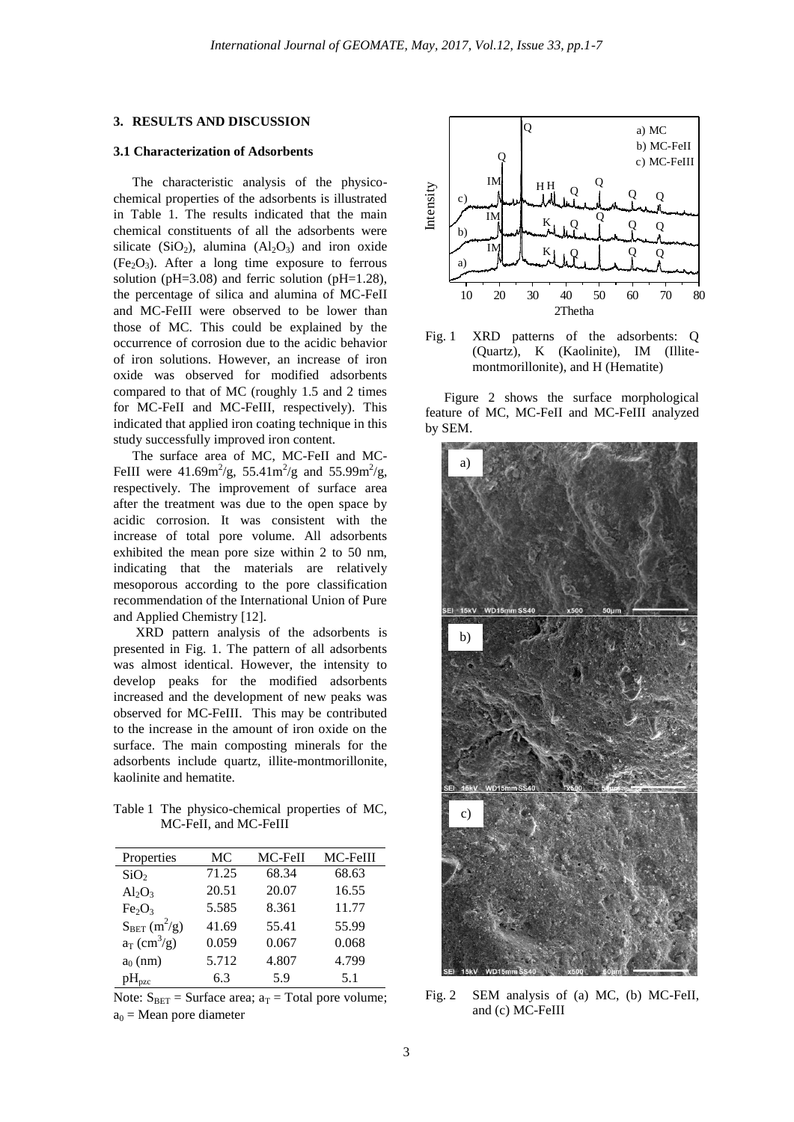#### **3. RESULTS AND DISCUSSION**

#### **3.1 Characterization of Adsorbents**

The characteristic analysis of the physicochemical properties of the adsorbents is illustrated in Table 1. The results indicated that the main chemical constituents of all the adsorbents were silicate (SiO<sub>2</sub>), alumina  $(AI_2O_3)$  and iron oxide  $(Fe<sub>2</sub>O<sub>3</sub>)$ . After a long time exposure to ferrous solution ( $pH=3.08$ ) and ferric solution ( $pH=1.28$ ), the percentage of silica and alumina of MC-FeII and MC-FeIII were observed to be lower than those of MC. This could be explained by the occurrence of corrosion due to the acidic behavior of iron solutions. However, an increase of iron oxide was observed for modified adsorbents compared to that of MC (roughly 1.5 and 2 times for MC-FeII and MC-FeIII, respectively). This indicated that applied iron coating technique in this study successfully improved iron content.

The surface area of MC, MC-FeII and MC-FeIII were  $41.69 \text{m}^2/\text{g}$ , 55.41m<sup>2</sup>/g and 55.99m<sup>2</sup>/g, respectively. The improvement of surface area after the treatment was due to the open space by acidic corrosion. It was consistent with the increase of total pore volume. All adsorbents exhibited the mean pore size within 2 to 50 nm, indicating that the materials are relatively mesoporous according to the pore classification recommendation of the International Union of Pure and Applied Chemistry [12].

XRD pattern analysis of the adsorbents is presented in Fig. 1. The pattern of all adsorbents was almost identical. However, the intensity to develop peaks for the modified adsorbents increased and the development of new peaks was observed for MC-FeIII. This may be contributed to the increase in the amount of iron oxide on the surface. The main composting minerals for the adsorbents include quartz, illite-montmorillonite, kaolinite and hematite.

Table 1 The physico-chemical properties of MC, MC-FeII, and MC-FeIII

| Properties                     | МC    | MC-FeII | MC-FeIII |
|--------------------------------|-------|---------|----------|
| SiO <sub>2</sub>               | 71.25 | 68.34   | 68.63    |
| $Al_2O_3$                      | 20.51 | 20.07   | 16.55    |
| Fe <sub>2</sub> O <sub>3</sub> | 5.585 | 8.361   | 11.77    |
| $S_{BET}(m^2/g)$               | 41.69 | 55.41   | 55.99    |
| $a_T$ (cm <sup>3</sup> /g)     | 0.059 | 0.067   | 0.068    |
| $a_0$ (nm)                     | 5.712 | 4.807   | 4.799    |
| $pH_{pzc}$                     | 6.3   | 5.9     | 5.1      |

Note:  $S_{BET}$  = Surface area;  $a_T$  = Total pore volume;  $a_0$  = Mean pore diameter





Figure 2 shows the surface morphological feature of MC, MC-FeII and MC-FeIII analyzed by SEM.



Fig. 2 SEM analysis of (a) MC, (b) MC-FeII, and (c) MC-FeIII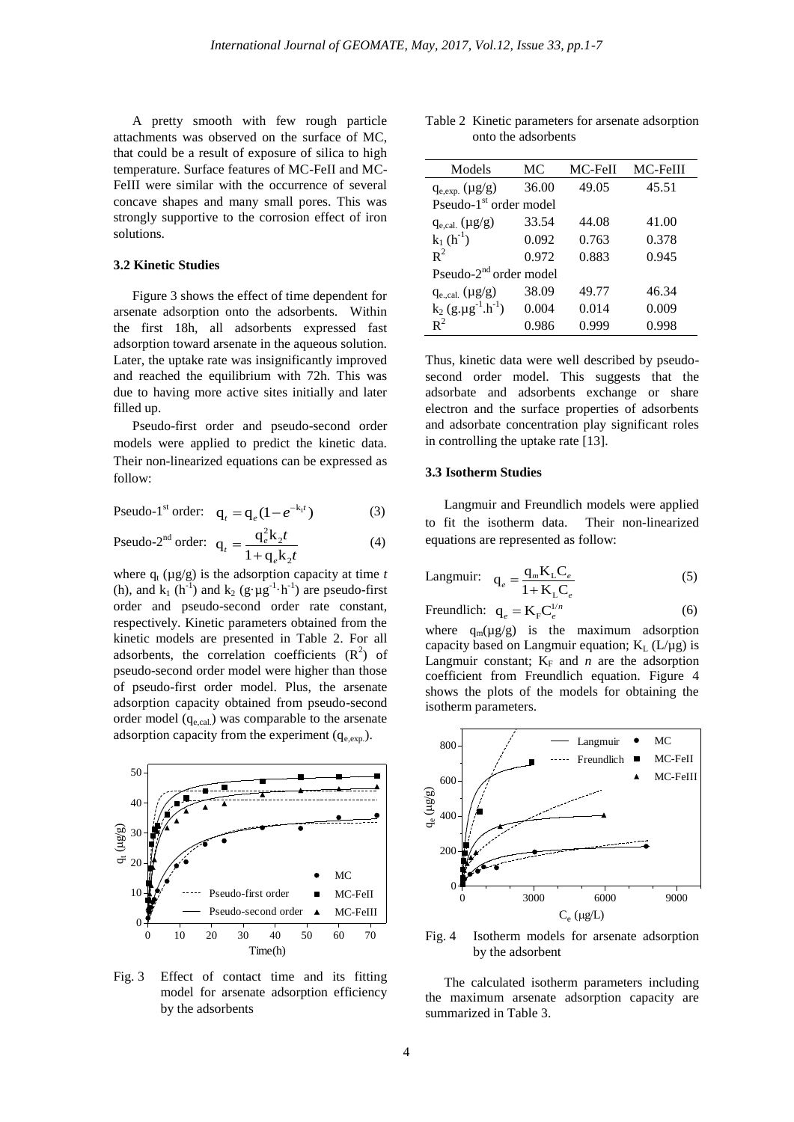A pretty smooth with few rough particle attachments was observed on the surface of MC, that could be a result of exposure of silica to high temperature. Surface features of MC-FeII and MC-FeIII were similar with the occurrence of several concave shapes and many small pores. This was strongly supportive to the corrosion effect of iron solutions.

#### **3.2 Kinetic Studies**

Figure 3 shows the effect of time dependent for arsenate adsorption onto the adsorbents. Within the first 18h, all adsorbents expressed fast adsorption toward arsenate in the aqueous solution. Later, the uptake rate was insignificantly improved and reached the equilibrium with 72h. This was due to having more active sites initially and later filled up.

Pseudo-first order and pseudo-second order models were applied to predict the kinetic data. Their non-linearized equations can be expressed as follow:

Pseudo-1<sup>st</sup> order: 
$$
\mathbf{q}_t = \mathbf{q}_e (1 - e^{-\mathbf{k}_1 t})
$$
 (3)

Pseudo-2<sup>nd</sup> order: 
$$
q_t = \frac{q_e^2 k_2 t}{1 + q_e k_2 t}
$$
 (4)

where  $q_t$  ( $\mu$ g/g) is the adsorption capacity at time *t* (h), and  $k_1$  (h<sup>-1</sup>) and  $k_2$  (g· $\mu$ g<sup>-1</sup>·h<sup>-1</sup>) are pseudo-first order and pseudo-second order rate constant, respectively. Kinetic parameters obtained from the kinetic models are presented in Table 2. For all adsorbents, the correlation coefficients  $(R^2)$  of pseudo-second order model were higher than those of pseudo-first order model. Plus, the arsenate adsorption capacity obtained from pseudo-second order model  $(q_{e,cal})$  was comparable to the arsenate adsorption capacity from the experiment  $(q_{e,exp.})$ .



Fig. 3 Effect of contact time and its fitting model for arsenate adsorption efficiency by the adsorbents

Table 2 Kinetic parameters for arsenate adsorption onto the adsorbents

| Models                                       | МC    | MC-FeII | MC-FeIII |  |  |
|----------------------------------------------|-------|---------|----------|--|--|
| $q_{e, exp.} (\mu g/g)$                      | 36.00 | 49.05   | 45.51    |  |  |
| Pseudo-1 <sup>st</sup> order model           |       |         |          |  |  |
| $q_{e, cal.} (\mu g/g)$                      | 33.54 | 44.08   | 41.00    |  |  |
| $k_1(h^{-1})$                                | 0.092 | 0.763   | 0.378    |  |  |
| $R^2$                                        | 0.972 | 0.883   | 0.945    |  |  |
| Pseudo-2 <sup>nd</sup> order model           |       |         |          |  |  |
| $q_{e,cal}$ ( $\mu g/g$ )                    | 38.09 | 49.77   | 46.34    |  |  |
| $k_2$ (g.µg <sup>-1</sup> .h <sup>-1</sup> ) | 0.004 | 0.014   | 0.009    |  |  |
| $R^2$                                        | 0.986 | .999    | 0.998    |  |  |

Thus, kinetic data were well described by pseudosecond order model. This suggests that the adsorbate and adsorbents exchange or share electron and the surface properties of adsorbents and adsorbate concentration play significant roles in controlling the uptake rate [13].

## **3.3 Isotherm Studies**

Langmuir and Freundlich models were applied to fit the isotherm data. Their non-linearized equations are represented as follow:

$$
\text{Langmuir:} \quad \mathbf{q}_e = \frac{\mathbf{q}_m \mathbf{K}_L \mathbf{C}_e}{1 + \mathbf{K}_L \mathbf{C}_e} \tag{5}
$$

$$
\text{Freundlich:} \quad \mathbf{q}_e = \mathbf{K}_{\mathbf{F}} \mathbf{C}_e^{1/n} \tag{6}
$$

where  $q_m(\mu g/g)$  is the maximum adsorption capacity based on Langmuir equation;  $K_L$  (L/ $\mu$ g) is Langmuir constant;  $K_F$  and *n* are the adsorption coefficient from Freundlich equation. Figure 4 shows the plots of the models for obtaining the isotherm parameters.



Fig. 4 Isotherm models for arsenate adsorption by the adsorbent

The calculated isotherm parameters including the maximum arsenate adsorption capacity are summarized in Table 3.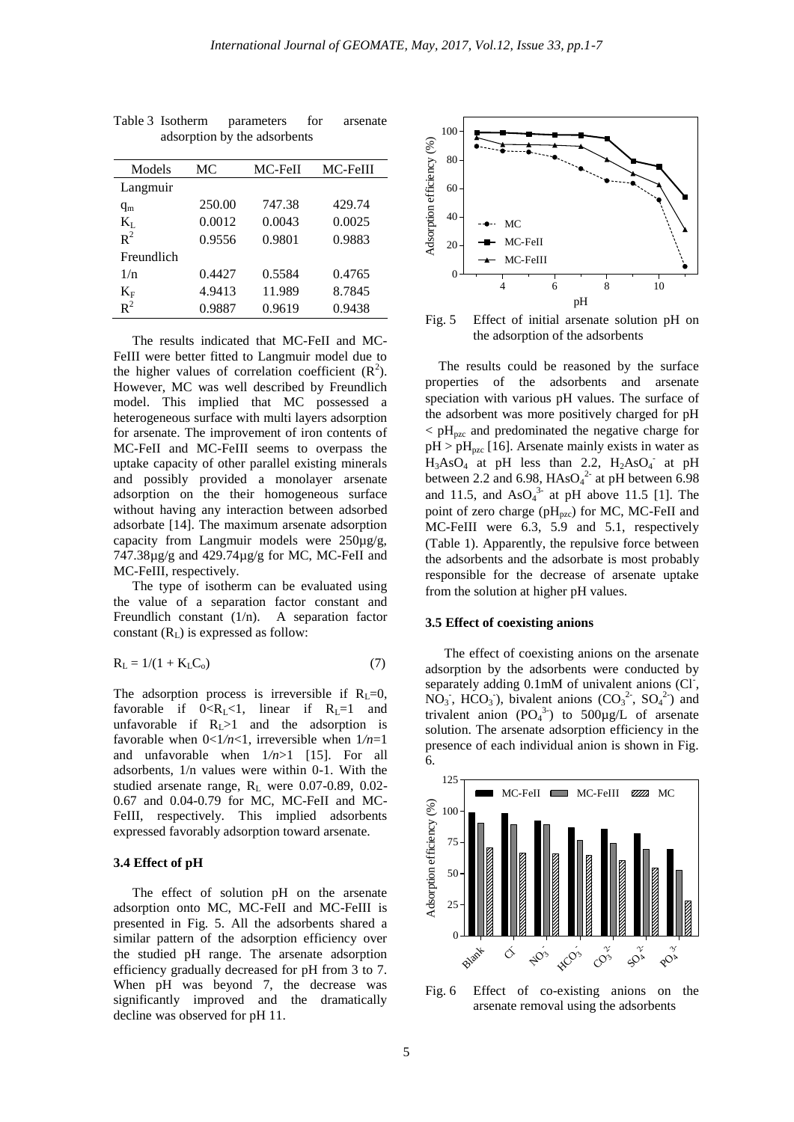| Models         | МC     | MC-FeII | MC-FeIII |
|----------------|--------|---------|----------|
| Langmuir       |        |         |          |
| $q_{m}$        | 250.00 | 747.38  | 429.74   |
| $K_{L}$        | 0.0012 | 0.0043  | 0.0025   |
| $R^2$          | 0.9556 | 0.9801  | 0.9883   |
| Freundlich     |        |         |          |
| 1/n            | 0.4427 | 0.5584  | 0.4765   |
| $\rm K_F$      | 4.9413 | 11.989  | 8.7845   |
| $\mathbf{R}^2$ | 0.9887 | 0.9619  | 0.9438   |

Table 3 Isotherm parameters for arsenate adsorption by the adsorbents

The results indicated that MC-FeII and MC-FeIII were better fitted to Langmuir model due to the higher values of correlation coefficient  $(R^2)$ . However, MC was well described by Freundlich model. This implied that MC possessed a heterogeneous surface with multi layers adsorption for arsenate. The improvement of iron contents of MC-FeII and MC-FeIII seems to overpass the uptake capacity of other parallel existing minerals and possibly provided a monolayer arsenate adsorption on the their homogeneous surface without having any interaction between adsorbed adsorbate [14]. The maximum arsenate adsorption capacity from Langmuir models were 250µg/g, 747.38µg/g and 429.74µg/g for MC, MC-FeII and MC-FeIII, respectively.

The type of isotherm can be evaluated using the value of a separation factor constant and Freundlich constant (1/n). A separation factor constant  $(R<sub>L</sub>)$  is expressed as follow:

$$
R_{L} = 1/(1 + K_{L}C_{o})
$$
\n(7)

The adsorption process is irreversible if  $R<sub>L</sub>=0$ , favorable if  $0 < R_L < 1$ , linear if  $R_L = 1$  and unfavorable if  $R_1>1$  and the adsorption is favorable when 0<1*/n*<1, irreversible when 1*/n*=1 and unfavorable when 1*/n*>1 [15]. For all adsorbents, 1/n values were within 0-1. With the studied arsenate range, R<sub>L</sub> were 0.07-0.89, 0.02-0.67 and 0.04-0.79 for MC, MC-FeII and MC-FeIII, respectively. This implied adsorbents expressed favorably adsorption toward arsenate.

#### **3.4 Effect of pH**

The effect of solution pH on the arsenate adsorption onto MC, MC-FeII and MC-FeIII is presented in Fig. 5. All the adsorbents shared a similar pattern of the adsorption efficiency over the studied pH range. The arsenate adsorption efficiency gradually decreased for pH from 3 to 7. When pH was beyond 7, the decrease was significantly improved and the dramatically decline was observed for pH 11.



Fig. 5 Effect of initial arsenate solution pH on the adsorption of the adsorbents

The results could be reasoned by the surface properties of the adsorbents and arsenate speciation with various pH values. The surface of the adsorbent was more positively charged for pH  $\rm < pH_{\rm{pzc}}$  and predominated the negative charge for  $pH > pH_{pzc}$  [16]. Arsenate mainly exists in water as  $H_3AsO_4$  at pH less than 2.2,  $H_2AsO_4$  at pH between 2.2 and 6.98,  $HAsO<sub>4</sub><sup>2</sup>$  at pH between 6.98 and 11.5, and  $AsO<sub>4</sub><sup>3</sup>$  at pH above 11.5 [1]. The point of zero charge ( $pH_{pzc}$ ) for MC, MC-FeII and MC-FeIII were 6.3, 5.9 and 5.1, respectively (Table 1). Apparently, the repulsive force between the adsorbents and the adsorbate is most probably responsible for the decrease of arsenate uptake from the solution at higher pH values.

#### **3.5 Effect of coexisting anions**

The effect of coexisting anions on the arsenate adsorption by the adsorbents were conducted by separately adding 0.1mM of univalent anions (Cl<sup>-</sup>,  $NO_3$ , HCO<sub>3</sub>), bivalent anions  $(CO_3^2$ ,  $SO_4^2$ ) and trivalent anion  $(PO_4^3)$  to  $500\mu g/L$  of arsenate solution. The arsenate adsorption efficiency in the presence of each individual anion is shown in Fig. 6.



Fig. 6 Effect of co-existing anions on the arsenate removal using the adsorbents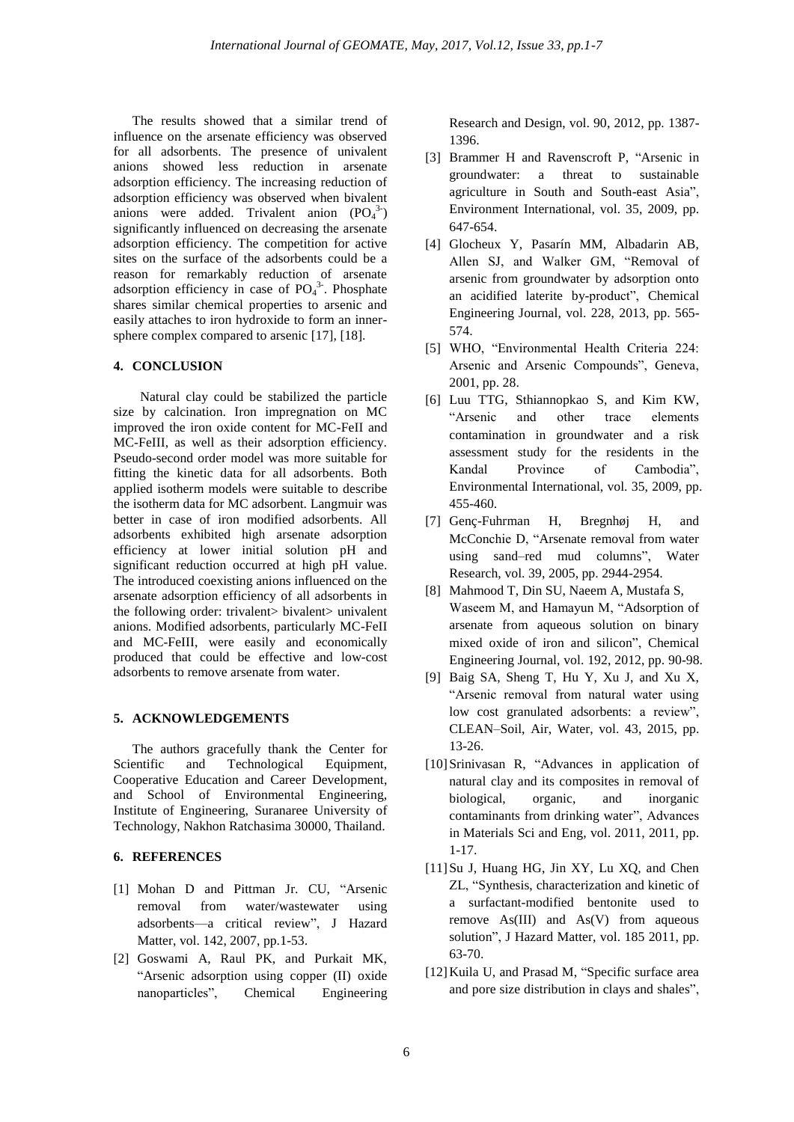The results showed that a similar trend of influence on the arsenate efficiency was observed for all adsorbents. The presence of univalent anions showed less reduction in arsenate adsorption efficiency. The increasing reduction of adsorption efficiency was observed when bivalent anions were added. Trivalent anion  $(PO_4^3)$ significantly influenced on decreasing the arsenate adsorption efficiency. The competition for active sites on the surface of the adsorbents could be a reason for remarkably reduction of arsenate adsorption efficiency in case of  $PO<sub>4</sub><sup>3</sup>$ . Phosphate shares similar chemical properties to arsenic and easily attaches to iron hydroxide to form an innersphere complex compared to arsenic [17], [18].

## **4. CONCLUSION**

Natural clay could be stabilized the particle size by calcination. Iron impregnation on MC improved the iron oxide content for MC-FeII and MC-FeIII, as well as their adsorption efficiency. Pseudo-second order model was more suitable for fitting the kinetic data for all adsorbents. Both applied isotherm models were suitable to describe the isotherm data for MC adsorbent. Langmuir was better in case of iron modified adsorbents. All adsorbents exhibited high arsenate adsorption efficiency at lower initial solution pH and significant reduction occurred at high pH value. The introduced coexisting anions influenced on the arsenate adsorption efficiency of all adsorbents in the following order: trivalent> bivalent> univalent anions. Modified adsorbents, particularly MC-FeII and MC-FeIII, were easily and economically produced that could be effective and low-cost adsorbents to remove arsenate from water.

## **5. ACKNOWLEDGEMENTS**

The authors gracefully thank the Center for Scientific and Technological Equipment, Cooperative Education and Career Development, and School of Environmental Engineering, Institute of Engineering, Suranaree University of Technology, Nakhon Ratchasima 30000, Thailand.

# **6. REFERENCES**

- [1] Mohan D and Pittman Jr. CU, "Arsenic removal from water/wastewater using adsorbents—a critical review", J Hazard Matter, vol. 142, 2007, pp.1-53.
- [2] Goswami A, Raul PK, and Purkait MK, "Arsenic adsorption using copper (II) oxide nanoparticles", Chemical Engineering

Research and Design, vol. 90, 2012, pp. 1387- 1396.

- [3] Brammer H and Ravenscroft P, "Arsenic in groundwater: a threat to sustainable agriculture in South and South-east Asia", Environment International, vol. 35, 2009, pp. 647-654.
- [4] Glocheux Y, Pasarín MM, Albadarin AB, Allen SJ, and Walker GM, "Removal of arsenic from groundwater by adsorption onto an acidified laterite by-product", Chemical Engineering Journal, vol. 228, 2013, pp. 565- 574.
- [5] WHO, "Environmental Health Criteria 224: Arsenic and Arsenic Compounds", Geneva, 2001, pp. 28.
- [6] Luu TTG, Sthiannopkao S, and Kim KW, "Arsenic and other trace elements contamination in groundwater and a risk assessment study for the residents in the Kandal Province of Cambodia", Environmental International, vol. 35, 2009, pp. 455-460.
- [7] Genç-Fuhrman H, Bregnhøj H, and McConchie D, "Arsenate removal from water using sand–red mud columns", Water Research, vol. 39, 2005, pp. 2944-2954.
- [8] Mahmood T, Din SU, Naeem A, Mustafa S, Waseem M, and Hamayun M, "Adsorption of arsenate from aqueous solution on binary mixed oxide of iron and silicon", Chemical Engineering Journal, vol. 192, 2012, pp. 90-98.
- [9] Baig SA, Sheng T, Hu Y, Xu J, and Xu X, "Arsenic removal from natural water using low cost granulated adsorbents: a review", CLEAN–Soil, Air, Water, vol. 43, 2015, pp. 13-26.
- [10]Srinivasan R, "Advances in application of natural clay and its composites in removal of biological, organic, and inorganic contaminants from drinking water", Advances in Materials Sci and Eng, vol. 2011, 2011, pp. 1-17.
- [11] Su J, Huang HG, Jin XY, Lu XQ, and Chen ZL, "Synthesis, characterization and kinetic of a surfactant-modified bentonite used to remove As(III) and As(V) from aqueous solution", J Hazard Matter, vol. 185 2011, pp. 63-70.
- [12] Kuila U, and Prasad M, "Specific surface area and pore size distribution in clays and shales",